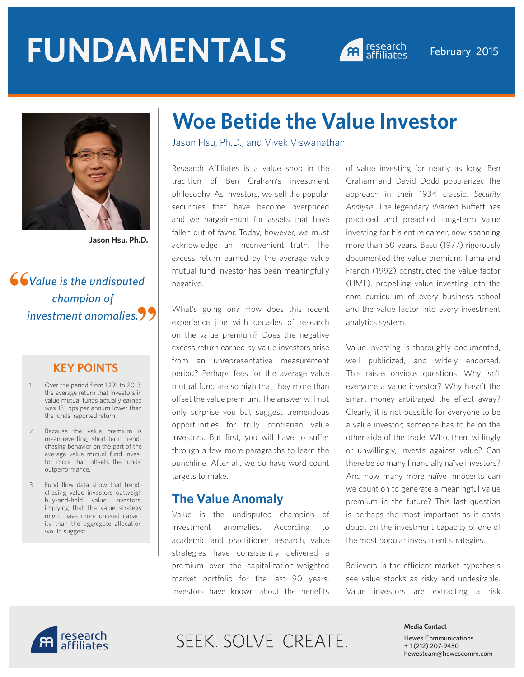# **FUNDAMENTALS A research February 2015**





**Jason Hsu, Ph.D.**

 *Value is the undisputed champion of investment anomalies.* **""**

### **KEY POINTS**

- 1. Over the period from 1991 to 2013, the average return that investors in value mutual funds actually earned was 131 bps per annum lower than the funds' reported return.
- 2. Because the value premium is mean-reverting, short-term trendchasing behavior on the part of the average value mutual fund investor more than offsets the funds' outperformance.
- 3. Fund flow data show that trendchasing value investors outweigh buy-and-hold value investors, implying that the value strategy might have more unused capacity than the aggregate allocation would suggest.

## **Woe Betide the Value Investor**

Jason Hsu, Ph.D., and Vivek Viswanathan

Research Affiliates is a value shop in the tradition of Ben Graham's investment philosophy. As investors, we sell the popular securities that have become overpriced and we bargain-hunt for assets that have fallen out of favor. Today, however, we must acknowledge an inconvenient truth. The excess return earned by the average value mutual fund investor has been meaningfully negative.

What's going on? How does this recent experience jibe with decades of research on the value premium? Does the negative excess return earned by value investors arise from an unrepresentative measurement period? Perhaps fees for the average value mutual fund are so high that they more than offset the value premium. The answer will not only surprise you but suggest tremendous opportunities for truly contrarian value investors. But first, you will have to suffer through a few more paragraphs to learn the punchline. After all, we do have word count targets to make.

## **The Value Anomaly**

Value is the undisputed champion of investment anomalies. According to academic and practitioner research, value strategies have consistently delivered a premium over the capitalization-weighted market portfolio for the last 90 years. Investors have known about the benefits of value investing for nearly as long. Ben Graham and David Dodd popularized the approach in their 1934 classic, *Security Analysis*. The legendary Warren Buffett has practiced and preached long-term value investing for his entire career, now spanning more than 50 years. Basu (1977) rigorously documented the value premium. Fama and French (1992) constructed the value factor (HML), propelling value investing into the core curriculum of every business school and the value factor into every investment analytics system.

Value investing is thoroughly documented, well publicized, and widely endorsed. This raises obvious questions: Why isn't everyone a value investor? Why hasn't the smart money arbitraged the effect away? Clearly, it is not possible for everyone to be a value investor; someone has to be on the other side of the trade. Who, then, willingly or unwillingly, invests against value? Can there be so many financially naïve investors? And how many more naïve innocents can we count on to generate a meaningful value premium in the future? This last question is perhaps the most important as it casts doubt on the investment capacity of one of the most popular investment strategies.

Believers in the efficient market hypothesis see value stocks as risky and undesirable. Value investors are extracting a risk



## SEEK. SOLVE. CREATE.

#### **Media Contact**

Hewes Communications + 1 (212) 207-9450 hewesteam@hewescomm.com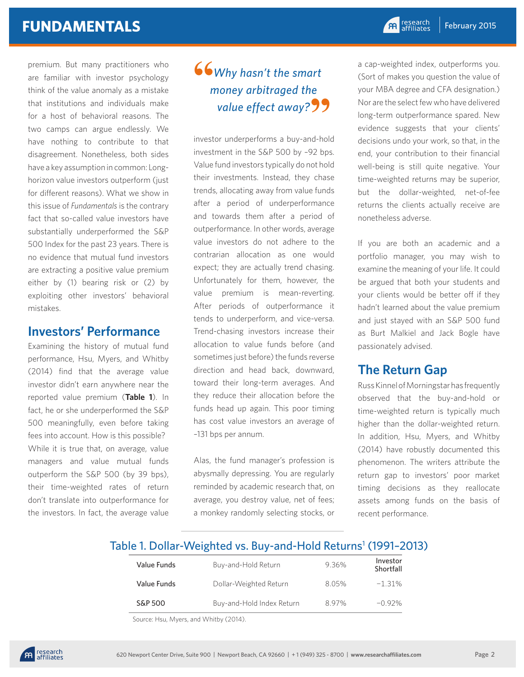premium. But many practitioners who are familiar with investor psychology think of the value anomaly as a mistake that institutions and individuals make for a host of behavioral reasons. The two camps can argue endlessly. We have nothing to contribute to that disagreement. Nonetheless, both sides have a key assumption in common: Longhorizon value investors outperform (just for different reasons). What we show in this issue of *Fundamentals* is the contrary fact that so-called value investors have substantially underperformed the S&P 500 Index for the past 23 years. There is no evidence that mutual fund investors are extracting a positive value premium either by (1) bearing risk or (2) by exploiting other investors' behavioral mistakes.

## **Investors' Performance**

Examining the history of mutual fund performance, Hsu, Myers, and Whitby (2014) find that the average value investor didn't earn anywhere near the reported value premium (**Table 1**). In fact, he or she underperformed the S&P 500 meaningfully, even before taking fees into account. How is this possible? While it is true that, on average, value managers and value mutual funds outperform the S&P 500 (by 39 bps), their time-weighted rates of return don't translate into outperformance for the investors. In fact, the average value

## *Why hasn't the smart money arbitraged the*  value effect away?<sup>99</sup> **"**

investor underperforms a buy-and-hold investment in the S&P 500 by –92 bps. Value fund investors typically do not hold their investments. Instead, they chase trends, allocating away from value funds after a period of underperformance and towards them after a period of outperformance. In other words, average value investors do not adhere to the contrarian allocation as one would expect; they are actually trend chasing. Unfortunately for them, however, the value premium is mean-reverting. After periods of outperformance it tends to underperform, and vice-versa. Trend-chasing investors increase their allocation to value funds before (and sometimes just before) the funds reverse direction and head back, downward, toward their long-term averages. And they reduce their allocation before the funds head up again. This poor timing has cost value investors an average of –131 bps per annum.

Alas, the fund manager's profession is abysmally depressing. You are regularly reminded by academic research that, on average, you destroy value, net of fees; a monkey randomly selecting stocks, or

a cap-weighted index, outperforms you. (Sort of makes you question the value of your MBA degree and CFA designation.) Nor are the select few who have delivered long-term outperformance spared. New evidence suggests that your clients' decisions undo your work, so that, in the end, your contribution to their financial well-being is still quite negative. Your time-weighted returns may be superior, but the dollar-weighted, net-of-fee returns the clients actually receive are nonetheless adverse.

If you are both an academic and a portfolio manager, you may wish to examine the meaning of your life. It could be argued that both your students and your clients would be better off if they hadn't learned about the value premium and just stayed with an S&P 500 fund as Burt Malkiel and Jack Bogle have passionately advised.

## **The Return Gap**

Russ Kinnel of Morningstar has frequently observed that the buy-and-hold or time-weighted return is typically much higher than the dollar-weighted return. In addition, Hsu, Myers, and Whitby (2014) have robustly documented this phenomenon. The writers attribute the return gap to investors' poor market timing decisions as they reallocate assets among funds on the basis of recent performance.

## Table 1. Dollar-Weighted vs. Buy-and-Hold Returns<sup>1</sup> (1991-2013)

| Value Funds | Buy-and-Hold Return       | 936% | Investor<br>Shortfall |
|-------------|---------------------------|------|-----------------------|
| Value Funds | Dollar-Weighted Return    | 805% | $-1.31%$              |
| S&P 500     | Buy-and-Hold Index Return | 897% | $-0.92\%$             |

Source: Hsu, Myers, and Whitby (2014).

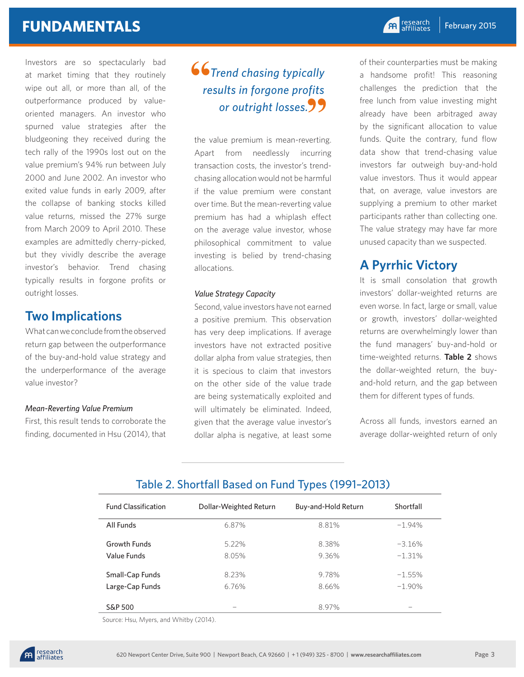Investors are so spectacularly bad at market timing that they routinely wipe out all, or more than all, of the outperformance produced by valueoriented managers. An investor who spurned value strategies after the bludgeoning they received during the tech rally of the 1990s lost out on the value premium's 94% run between July 2000 and June 2002. An investor who exited value funds in early 2009, after the collapse of banking stocks killed value returns, missed the 27% surge from March 2009 to April 2010. These examples are admittedly cherry-picked, but they vividly describe the average investor's behavior. Trend chasing typically results in forgone profits or outright losses.

## **Two Implications**

What can we conclude from the observed return gap between the outperformance of the buy-and-hold value strategy and the underperformance of the average value investor?

#### *Mean-Reverting Value Premium*

First, this result tends to corroborate the finding, documented in Hsu (2014), that

## *Trend chasing typically results in forgone profits or outright losses.* **" 66**<br>re

the value premium is mean-reverting. Apart from needlessly incurring transaction costs, the investor's trendchasing allocation would not be harmful if the value premium were constant over time. But the mean-reverting value premium has had a whiplash effect on the average value investor, whose philosophical commitment to value investing is belied by trend-chasing allocations.

#### *Value Strategy Capacity*

Second, value investors have not earned a positive premium. This observation has very deep implications. If average investors have not extracted positive dollar alpha from value strategies, then it is specious to claim that investors on the other side of the value trade are being systematically exploited and will ultimately be eliminated. Indeed, given that the average value investor's dollar alpha is negative, at least some

of their counterparties must be making a handsome profit! This reasoning challenges the prediction that the free lunch from value investing might already have been arbitraged away by the significant allocation to value funds. Quite the contrary, fund flow data show that trend-chasing value investors far outweigh buy-and-hold value investors. Thus it would appear that, on average, value investors are supplying a premium to other market participants rather than collecting one. The value strategy may have far more unused capacity than we suspected.

## **A Pyrrhic Victory**

It is small consolation that growth investors' dollar-weighted returns are even worse. In fact, large or small, value or growth, investors' dollar-weighted returns are overwhelmingly lower than the fund managers' buy-and-hold or time-weighted returns. **Table 2** shows the dollar-weighted return, the buyand-hold return, and the gap between them for different types of funds.

Across all funds, investors earned an average dollar-weighted return of only

## Table 2. Shortfall Based on Fund Types (1991–2013)

| <b>Fund Classification</b> | Dollar-Weighted Return | Buy-and-Hold Return | Shortfall |
|----------------------------|------------------------|---------------------|-----------|
| All Funds                  | 6.87%                  | 8.81%               | $-1.94%$  |
| <b>Growth Funds</b>        | 522%                   | 8.38%               | $-3.16%$  |
| Value Funds                | 805%                   | 936%                | $-1.31%$  |
| Small-Cap Funds            | 8 23%                  | 978%                | $-1.55%$  |
| Large-Cap Funds            | 6.76%                  | 8.66%               | $-1.90\%$ |
| S&P 500                    |                        | 8.97%               |           |

Source: Hsu, Myers, and Whitby (2014).

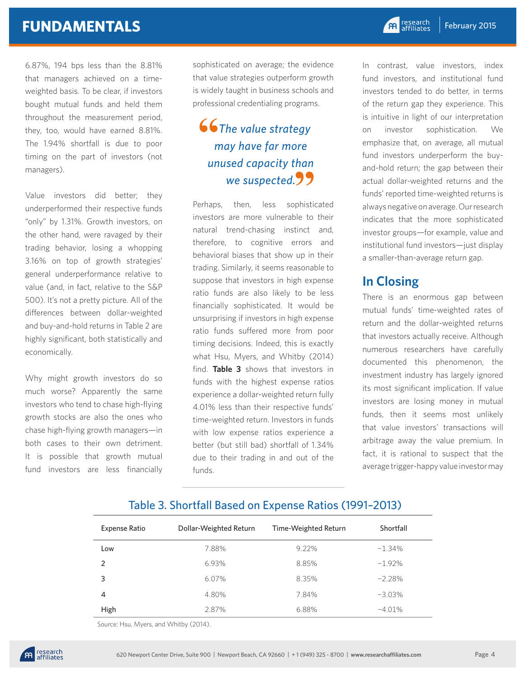## **FUNDAMENTALS**

6.87%, 194 bps less than the 8.81% that managers achieved on a timeweighted basis. To be clear, if investors bought mutual funds and held them throughout the measurement period, they, too, would have earned 8.81%. The 1.94% shortfall is due to poor timing on the part of investors (not managers).

Value investors did better; they underperformed their respective funds "only" by 1.31%. Growth investors, on the other hand, were ravaged by their trading behavior, losing a whopping 3.16% on top of growth strategies' general underperformance relative to value (and, in fact, relative to the S&P 500). It's not a pretty picture. All of the differences between dollar-weighted and buy-and-hold returns in Table 2 are highly significant, both statistically and economically.

Why might growth investors do so much worse? Apparently the same investors who tend to chase high-flying growth stocks are also the ones who chase high-flying growth managers—in both cases to their own detriment. It is possible that growth mutual fund investors are less financially

sophisticated on average; the evidence that value strategies outperform growth is widely taught in business schools and professional credentialing programs.

## *The value strategy may have far more unused capacity than we suspected.* **" "**

Perhaps, then, less sophisticated investors are more vulnerable to their natural trend-chasing instinct and, therefore, to cognitive errors and behavioral biases that show up in their trading. Similarly, it seems reasonable to suppose that investors in high expense ratio funds are also likely to be less financially sophisticated. It would be unsurprising if investors in high expense ratio funds suffered more from poor timing decisions. Indeed, this is exactly what Hsu, Myers, and Whitby (2014) find. **Table 3** shows that investors in funds with the highest expense ratios experience a dollar-weighted return fully 4.01% less than their respective funds' time-weighted return. Investors in funds with low expense ratios experience a better (but still bad) shortfall of 1.34% due to their trading in and out of the funds.

In contrast, value investors, index fund investors, and institutional fund investors tended to do better, in terms of the return gap they experience. This is intuitive in light of our interpretation on investor sophistication. We emphasize that, on average, all mutual fund investors underperform the buyand-hold return; the gap between their actual dollar-weighted returns and the funds' reported time-weighted returns is always negative on average. Our research indicates that the more sophisticated investor groups—for example, value and institutional fund investors—just display a smaller-than-average return gap.

## **In Closing**

There is an enormous gap between mutual funds' time-weighted rates of return and the dollar-weighted returns that investors actually receive. Although numerous researchers have carefully documented this phenomenon, the investment industry has largely ignored its most significant implication. If value investors are losing money in mutual funds, then it seems most unlikely that value investors' transactions will arbitrage away the value premium. In fact, it is rational to suspect that the average trigger-happy value investor may

## Expense Ratio Dollar-Weighted Return Time-Weighted Return Shortfall  $\mathsf{Low}$  7.88% 9.22% -1.34% **2** 6.93% 8.85% -1.92% **3** 6.07% 8.35%  $-2.28\%$ **4** 4.80% 7.84% -3.03% Table 3. Shortfall Based on Expense Ratios (1991–2013)

**High 2.87% 6.88% -4.01%** 

Source: Hsu, Myers, and Whitby (2014).